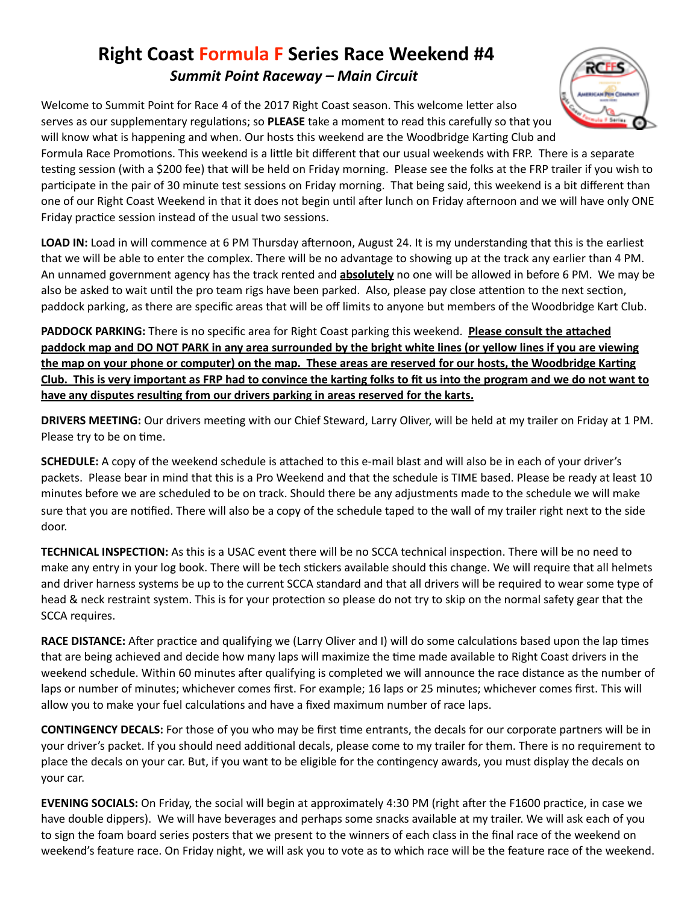## **Right Coast Formula F Series Race Weekend #4** *Summit Point Raceway – Main Circuit*

Welcome to Summit Point for Race 4 of the 2017 Right Coast season. This welcome letter also serves as our supplementary regulations; so PLEASE take a moment to read this carefully so that you will know what is happening and when. Our hosts this weekend are the Woodbridge Karting Club and



Formula Race Promotions. This weekend is a little bit different that our usual weekends with FRP. There is a separate testing session (with a \$200 fee) that will be held on Friday morning. Please see the folks at the FRP trailer if you wish to participate in the pair of 30 minute test sessions on Friday morning. That being said, this weekend is a bit different than one of our Right Coast Weekend in that it does not begin until after lunch on Friday afternoon and we will have only ONE Friday practice session instead of the usual two sessions.

**LOAD IN:** Load in will commence at 6 PM Thursday afternoon, August 24. It is my understanding that this is the earliest that we will be able to enter the complex. There will be no advantage to showing up at the track any earlier than 4 PM. An unnamed government agency has the track rented and **absolutely** no one will be allowed in before 6 PM. We may be also be asked to wait until the pro team rigs have been parked. Also, please pay close attention to the next section, paddock parking, as there are specific areas that will be off limits to anyone but members of the Woodbridge Kart Club.

PADDOCK PARKING: There is no specific area for Right Coast parking this weekend. Please consult the attached **paddock** map and DO NOT PARK in any area surrounded by the bright white lines (or yellow lines if you are viewing the map on your phone or computer) on the map. These areas are reserved for our hosts, the Woodbridge Karting Club. This is very important as FRP had to convince the karting folks to fit us into the program and we do not want to have any disputes resulting from our drivers parking in areas reserved for the karts.

**DRIVERS MEETING:** Our drivers meeting with our Chief Steward, Larry Oliver, will be held at my trailer on Friday at 1 PM. Please try to be on time.

**SCHEDULE:** A copy of the weekend schedule is attached to this e-mail blast and will also be in each of your driver's packets. Please bear in mind that this is a Pro Weekend and that the schedule is TIME based. Please be ready at least 10 minutes before we are scheduled to be on track. Should there be any adjustments made to the schedule we will make sure that you are notified. There will also be a copy of the schedule taped to the wall of my trailer right next to the side door.

TECHNICAL INSPECTION: As this is a USAC event there will be no SCCA technical inspection. There will be no need to make any entry in your log book. There will be tech stickers available should this change. We will require that all helmets and driver harness systems be up to the current SCCA standard and that all drivers will be required to wear some type of head & neck restraint system. This is for your protection so please do not try to skip on the normal safety gear that the SCCA requires.

**RACE DISTANCE:** After practice and qualifying we (Larry Oliver and I) will do some calculations based upon the lap times that are being achieved and decide how many laps will maximize the time made available to Right Coast drivers in the weekend schedule. Within 60 minutes after qualifying is completed we will announce the race distance as the number of laps or number of minutes; whichever comes first. For example; 16 laps or 25 minutes; whichever comes first. This will allow you to make your fuel calculations and have a fixed maximum number of race laps.

**CONTINGENCY DECALS:** For those of you who may be first time entrants, the decals for our corporate partners will be in your driver's packet. If you should need additional decals, please come to my trailer for them. There is no requirement to place the decals on your car. But, if you want to be eligible for the contingency awards, you must display the decals on vour car.

**EVENING SOCIALS:** On Friday, the social will begin at approximately 4:30 PM (right after the F1600 practice, in case we have double dippers). We will have beverages and perhaps some snacks available at my trailer. We will ask each of you to sign the foam board series posters that we present to the winners of each class in the final race of the weekend on weekend's feature race. On Friday night, we will ask you to vote as to which race will be the feature race of the weekend.